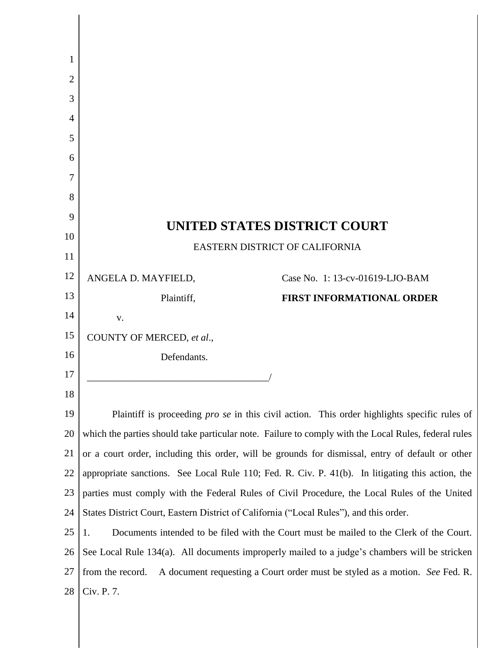| 1              |                                                                                                      |  |  |  |
|----------------|------------------------------------------------------------------------------------------------------|--|--|--|
| $\overline{2}$ |                                                                                                      |  |  |  |
| 3              |                                                                                                      |  |  |  |
| 4              |                                                                                                      |  |  |  |
| 5              |                                                                                                      |  |  |  |
| 6              |                                                                                                      |  |  |  |
| 7              |                                                                                                      |  |  |  |
| 8              |                                                                                                      |  |  |  |
| 9              | <b>UNITED STATES DISTRICT COURT</b>                                                                  |  |  |  |
| 10             | EASTERN DISTRICT OF CALIFORNIA                                                                       |  |  |  |
| 11             |                                                                                                      |  |  |  |
| 12             | Case No. 1: 13-cv-01619-LJO-BAM<br>ANGELA D. MAYFIELD,                                               |  |  |  |
| 13             | Plaintiff,<br><b>FIRST INFORMATIONAL ORDER</b>                                                       |  |  |  |
| 14             | V.                                                                                                   |  |  |  |
| 15             | COUNTY OF MERCED, et al.,                                                                            |  |  |  |
| 16             | Defendants.                                                                                          |  |  |  |
| 17             |                                                                                                      |  |  |  |
| 18             |                                                                                                      |  |  |  |
| 19             | Plaintiff is proceeding <i>pro se</i> in this civil action. This order highlights specific rules of  |  |  |  |
| 20             | which the parties should take particular note. Failure to comply with the Local Rules, federal rules |  |  |  |
| 21             | or a court order, including this order, will be grounds for dismissal, entry of default or other     |  |  |  |
| 22             | appropriate sanctions. See Local Rule 110; Fed. R. Civ. P. 41(b). In litigating this action, the     |  |  |  |
| 23             | parties must comply with the Federal Rules of Civil Procedure, the Local Rules of the United         |  |  |  |
| 24             | States District Court, Eastern District of California ("Local Rules"), and this order.               |  |  |  |
| 25             | Documents intended to be filed with the Court must be mailed to the Clerk of the Court.<br>1.        |  |  |  |
| 26             | See Local Rule 134(a). All documents improperly mailed to a judge's chambers will be stricken        |  |  |  |
| 27             | A document requesting a Court order must be styled as a motion. See Fed. R.<br>from the record.      |  |  |  |
| 28             | Civ. P. 7.                                                                                           |  |  |  |
|                |                                                                                                      |  |  |  |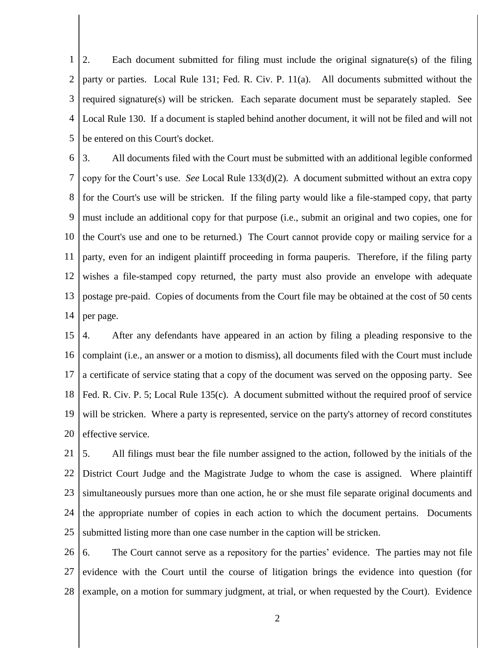1 2 3 4 5 2. Each document submitted for filing must include the original signature(s) of the filing party or parties. Local Rule 131; Fed. R. Civ. P. 11(a). All documents submitted without the required signature(s) will be stricken. Each separate document must be separately stapled. See Local Rule 130. If a document is stapled behind another document, it will not be filed and will not be entered on this Court's docket.

6 7 8 9 10 11 12 13 14 3. All documents filed with the Court must be submitted with an additional legible conformed copy for the Court's use. *See* Local Rule 133(d)(2). A document submitted without an extra copy for the Court's use will be stricken. If the filing party would like a file-stamped copy, that party must include an additional copy for that purpose (i.e., submit an original and two copies, one for the Court's use and one to be returned.) The Court cannot provide copy or mailing service for a party, even for an indigent plaintiff proceeding in forma pauperis. Therefore, if the filing party wishes a file-stamped copy returned, the party must also provide an envelope with adequate postage pre-paid. Copies of documents from the Court file may be obtained at the cost of 50 cents per page.

15 16 17 18 19 20 4. After any defendants have appeared in an action by filing a pleading responsive to the complaint (i.e., an answer or a motion to dismiss), all documents filed with the Court must include a certificate of service stating that a copy of the document was served on the opposing party. See Fed. R. Civ. P. 5; Local Rule 135(c). A document submitted without the required proof of service will be stricken. Where a party is represented, service on the party's attorney of record constitutes effective service.

21 22 23 24 25 5. All filings must bear the file number assigned to the action, followed by the initials of the District Court Judge and the Magistrate Judge to whom the case is assigned. Where plaintiff simultaneously pursues more than one action, he or she must file separate original documents and the appropriate number of copies in each action to which the document pertains. Documents submitted listing more than one case number in the caption will be stricken.

26 27 28 6. The Court cannot serve as a repository for the parties' evidence. The parties may not file evidence with the Court until the course of litigation brings the evidence into question (for example, on a motion for summary judgment, at trial, or when requested by the Court). Evidence

2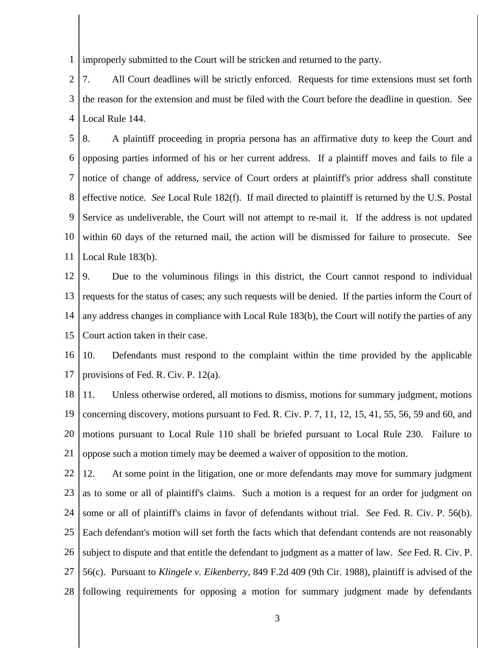1 improperly submitted to the Court will be stricken and returned to the party.

2 3 4 7. All Court deadlines will be strictly enforced. Requests for time extensions must set forth the reason for the extension and must be filed with the Court before the deadline in question. See Local Rule 144.

5 6 7 8 9 10 11 8. A plaintiff proceeding in propria persona has an affirmative duty to keep the Court and opposing parties informed of his or her current address. If a plaintiff moves and fails to file a notice of change of address, service of Court orders at plaintiff's prior address shall constitute effective notice. *See* Local Rule 182(f). If mail directed to plaintiff is returned by the U.S. Postal Service as undeliverable, the Court will not attempt to re-mail it. If the address is not updated within 60 days of the returned mail, the action will be dismissed for failure to prosecute. See Local Rule 183(b).

12 13 14 15 9. Due to the voluminous filings in this district, the Court cannot respond to individual requests for the status of cases; any such requests will be denied. If the parties inform the Court of any address changes in compliance with Local Rule 183(b), the Court will notify the parties of any Court action taken in their case.

16 17 10. Defendants must respond to the complaint within the time provided by the applicable provisions of Fed. R. Civ. P. 12(a).

18 19 20 21 11. Unless otherwise ordered, all motions to dismiss, motions for summary judgment, motions concerning discovery, motions pursuant to Fed. R. Civ. P. 7, 11, 12, 15, 41, 55, 56, 59 and 60, and motions pursuant to Local Rule 110 shall be briefed pursuant to Local Rule 230. Failure to oppose such a motion timely may be deemed a waiver of opposition to the motion.

22 23 24 25 26 27 28 12. At some point in the litigation, one or more defendants may move for summary judgment as to some or all of plaintiff's claims. Such a motion is a request for an order for judgment on some or all of plaintiff's claims in favor of defendants without trial. *See* Fed. R. Civ. P. 56(b). Each defendant's motion will set forth the facts which that defendant contends are not reasonably subject to dispute and that entitle the defendant to judgment as a matter of law. *See* Fed. R. Civ. P. 56(c). Pursuant to *Klingele v. Eikenberry*, 849 F.2d 409 (9th Cir. 1988), plaintiff is advised of the following requirements for opposing a motion for summary judgment made by defendants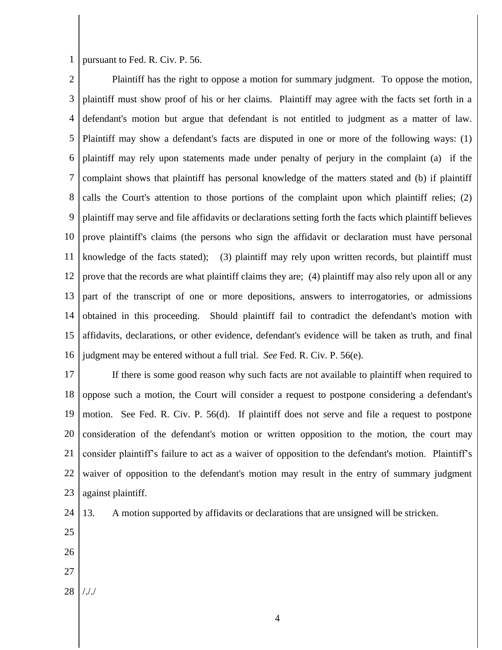1 pursuant to Fed. R. Civ. P. 56.

2 3 4 5 6 7 8 9 10 11 12 13 14 15 16 Plaintiff has the right to oppose a motion for summary judgment. To oppose the motion, plaintiff must show proof of his or her claims. Plaintiff may agree with the facts set forth in a defendant's motion but argue that defendant is not entitled to judgment as a matter of law. Plaintiff may show a defendant's facts are disputed in one or more of the following ways: (1) plaintiff may rely upon statements made under penalty of perjury in the complaint (a) if the complaint shows that plaintiff has personal knowledge of the matters stated and (b) if plaintiff calls the Court's attention to those portions of the complaint upon which plaintiff relies; (2) plaintiff may serve and file affidavits or declarations setting forth the facts which plaintiff believes prove plaintiff's claims (the persons who sign the affidavit or declaration must have personal knowledge of the facts stated); (3) plaintiff may rely upon written records, but plaintiff must prove that the records are what plaintiff claims they are; (4) plaintiff may also rely upon all or any part of the transcript of one or more depositions, answers to interrogatories, or admissions obtained in this proceeding. Should plaintiff fail to contradict the defendant's motion with affidavits, declarations, or other evidence, defendant's evidence will be taken as truth, and final judgment may be entered without a full trial. *See* Fed. R. Civ. P. 56(e).

17 18 19 20 21 22 23 If there is some good reason why such facts are not available to plaintiff when required to oppose such a motion, the Court will consider a request to postpone considering a defendant's motion. See Fed. R. Civ. P. 56(d). If plaintiff does not serve and file a request to postpone consideration of the defendant's motion or written opposition to the motion, the court may consider plaintiff's failure to act as a waiver of opposition to the defendant's motion. Plaintiff's waiver of opposition to the defendant's motion may result in the entry of summary judgment against plaintiff.

13. A motion supported by affidavits or declarations that are unsigned will be stricken.

- 24 25
- 26
- 27
- 
- 28 /././